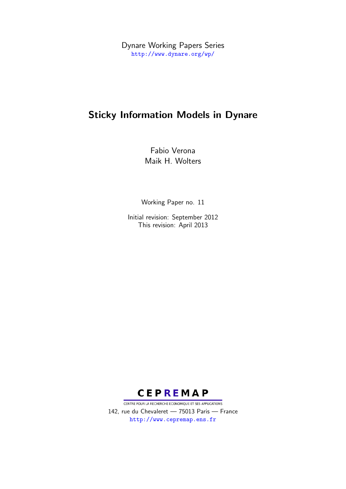Dynare Working Papers Series <http://www.dynare.org/wp/>

# Sticky Information Models in Dynare

Fabio Verona Maik H. Wolters

Working Paper no. 11

Initial revision: September 2012 This revision: April 2013



CENTRE POUR LA RECHERCHE ECONOMIQUE ET SES APPLICATIONS 142, rue du Chevaleret — 75013 Paris — France <http://www.cepremap.ens.fr>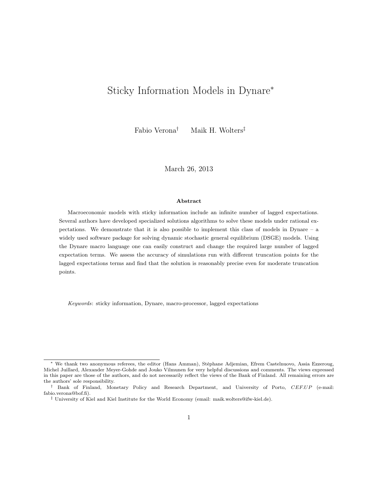## Sticky Information Models in Dynare<sup>∗</sup>

Fabio Verona† Maik H. Wolters‡

March 26, 2013

#### Abstract

Macroeconomic models with sticky information include an infinite number of lagged expectations. Several authors have developed specialized solutions algorithms to solve these models under rational expectations. We demonstrate that it is also possible to implement this class of models in Dynare – a widely used software package for solving dynamic stochastic general equilibrium (DSGE) models. Using the Dynare macro language one can easily construct and change the required large number of lagged expectation terms. We assess the accuracy of simulations run with different truncation points for the lagged expectations terms and find that the solution is reasonably precise even for moderate truncation points.

Keywords: sticky information, Dynare, macro-processor, lagged expectations

<sup>∗</sup> We thank two anonymous referees, the editor (Hans Amman), Stéphane Adjemian, Efrem Castelnuovo, Assia Ezzeroug, Michel Juillard, Alexander Meyer-Gohde and Jouko Vilmunen for very helpful discussions and comments. The views expressed in this paper are those of the authors, and do not necessarily reflect the views of the Bank of Finland. All remaining errors are the authors' sole responsibility.

<sup>†</sup> Bank of Finland, Monetary Policy and Research Department, and University of Porto, CEF.UP (e-mail: fabio.verona@bof.fi).

<sup>‡</sup> University of Kiel and Kiel Institute for the World Economy (email: maik.wolters@ifw-kiel.de).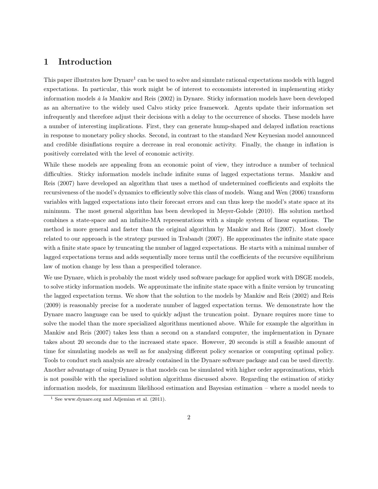### 1 Introduction

This paper illustrates how Dynare<sup>1</sup> can be used to solve and simulate rational expectations models with lagged expectations. In particular, this work might be of interest to economists interested in implementing sticky information models à la Mankiw and Reis (2002) in Dynare. Sticky information models have been developed as an alternative to the widely used Calvo sticky price framework. Agents update their information set infrequently and therefore adjust their decisions with a delay to the occurrence of shocks. These models have a number of interesting implications. First, they can generate hump-shaped and delayed inflation reactions in response to monetary policy shocks. Second, in contrast to the standard New Keynesian model announced and credible disinflations require a decrease in real economic activity. Finally, the change in inflation is positively correlated with the level of economic activity.

While these models are appealing from an economic point of view, they introduce a number of technical difficulties. Sticky information models include infinite sums of lagged expectations terms. Mankiw and Reis (2007) have developed an algorithm that uses a method of undetermined coefficients and exploits the recursiveness of the model's dynamics to efficiently solve this class of models. Wang and Wen (2006) transform variables with lagged expectations into their forecast errors and can thus keep the model's state space at its minimum. The most general algorithm has been developed in Meyer-Gohde (2010). His solution method combines a state-space and an infinite-MA representations with a simple system of linear equations. The method is more general and faster than the original algorithm by Mankiw and Reis (2007). Most closely related to our approach is the strategy pursued in Trabandt (2007). He approximates the infinite state space with a finite state space by truncating the number of lagged expectations. He starts with a minimal number of lagged expectations terms and adds sequentially more terms until the coefficients of the recursive equilibrium law of motion change by less than a prespecified tolerance.

We use Dynare, which is probably the most widely used software package for applied work with DSGE models, to solve sticky information models. We approximate the infinite state space with a finite version by truncating the lagged expectation terms. We show that the solution to the models by Mankiw and Reis (2002) and Reis (2009) is reasonably precise for a moderate number of lagged expectation terms. We demonstrate how the Dynare macro language can be used to quickly adjust the truncation point. Dynare requires more time to solve the model than the more specialized algorithms mentioned above. While for example the algorithm in Mankiw and Reis (2007) takes less than a second on a standard computer, the implementation in Dynare takes about 20 seconds due to the increased state space. However, 20 seconds is still a feasible amount of time for simulating models as well as for analysing different policy scenarios or computing optimal policy. Tools to conduct such analysis are already contained in the Dynare software package and can be used directly. Another advantage of using Dynare is that models can be simulated with higher order approximations, which is not possible with the specialized solution algorithms discussed above. Regarding the estimation of sticky information models, for maximum likelihood estimation and Bayesian estimation – where a model needs to

<sup>&</sup>lt;sup>1</sup> See www.dynare.org and Adjemian et al.  $(2011)$ .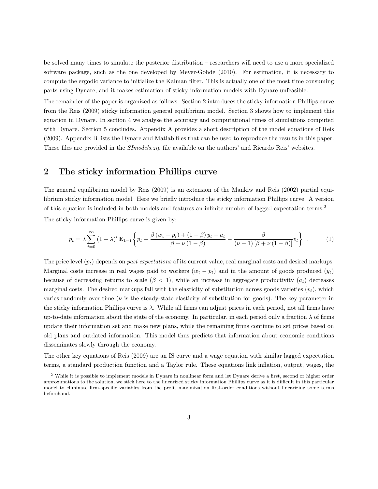be solved many times to simulate the posterior distribution – researchers will need to use a more specialized software package, such as the one developed by Meyer-Gohde (2010). For estimation, it is necessary to compute the ergodic variance to initialize the Kalman filter. This is actually one of the most time consuming parts using Dynare, and it makes estimation of sticky information models with Dynare unfeasible.

The remainder of the paper is organized as follows. Section 2 introduces the sticky information Phillips curve from the Reis (2009) sticky information general equilibrium model. Section 3 shows how to implement this equation in Dynare. In section 4 we analyse the accuracy and computational times of simulations computed with Dynare. Section 5 concludes. Appendix A provides a short description of the model equations of Reis (2009). Appendix B lists the Dynare and Matlab files that can be used to reproduce the results in this paper. These files are provided in the *SImodels.zip* file available on the authors' and Ricardo Reis' websites.

#### 2 The sticky information Phillips curve

The general equilibrium model by Reis (2009) is an extension of the Mankiw and Reis (2002) partial equilibrium sticky information model. Here we briefly introduce the sticky information Phillips curve. A version of this equation is included in both models and features an infinite number of lagged expectation terms.<sup>2</sup> The sticky information Phillips curve is given by:

$$
p_t = \lambda \sum_{i=0}^{\infty} \left(1 - \lambda\right)^i \mathbf{E}_{t-i} \left\{ p_t + \frac{\beta \left(w_t - p_t\right) + \left(1 - \beta\right) y_t - a_t}{\beta + \nu \left(1 - \beta\right)} - \frac{\beta}{\left(\nu - 1\right) \left[\beta + \nu \left(1 - \beta\right)\right]} v_t \right\} \tag{1}
$$

The price level  $(p_t)$  depends on past expectations of its current value, real marginal costs and desired markups. Marginal costs increase in real wages paid to workers  $(w_t - p_t)$  and in the amount of goods produced  $(y_t)$ because of decreasing returns to scale  $(\beta < 1)$ , while an increase in aggregate productivity  $(a_t)$  decreases marginal costs. The desired markups fall with the elasticity of substitution across goods varieties  $(v_t)$ , which varies randomly over time ( $\nu$  is the steady-state elasticity of substitution for goods). The key parameter in the sticky information Phillips curve is  $\lambda$ . While all firms can adjust prices in each period, not all firms have up-to-date information about the state of the economy. In particular, in each period only a fraction  $\lambda$  of firms update their information set and make new plans, while the remaining firms continue to set prices based on old plans and outdated information. This model thus predicts that information about economic conditions disseminates slowly through the economy.

The other key equations of Reis (2009) are an IS curve and a wage equation with similar lagged expectation terms, a standard production function and a Taylor rule. These equations link inflation, output, wages, the

<sup>&</sup>lt;sup>2</sup> While it is possible to implement models in Dynare in nonlinear form and let Dynare derive a first, second or higher order approximations to the solution, we stick here to the linearized sticky information Phillips curve as it is difficult in this particular model to eliminate firm-specific variables from the profit maximization first-order conditions without linearizing some terms beforehand.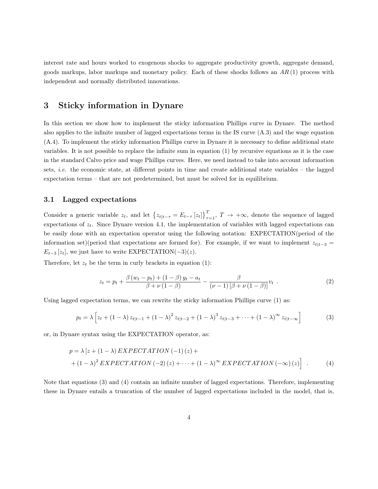interest rate and hours worked to exogenous shocks to aggregate productivity growth, aggregate demand, goods markups, labor markups and monetary policy. Each of these shocks follows an  $AR(1)$  process with independent and normally distributed innovations.

#### 3 Sticky information in Dynare

In this section we show how to implement the sticky information Phillips curve in Dynare. The method also applies to the infinite number of lagged expectations terms in the IS curve (A.3) and the wage equation (A.4). To implement the sticky information Phillips curve in Dynare it is necessary to define additional state variables. It is not possible to replace the infinite sum in equation (1) by recursive equations as it is the case in the standard Calvo price and wage Phillips curves. Here, we need instead to take into account information sets, i.e. the economic state, at different points in time and create additional state variables – the lagged expectation terms – that are not predetermined, but must be solved for in equilibrium.

#### 3.1 Lagged expectations

Consider a generic variable  $z_t$ , and let  $\{z_{t|t-\tau} = E_{t-\tau} [z_t]\}_{\tau=1}^T$ ,  $T \to +\infty$ , denote the sequence of lagged expectations of  $z_t$ . Since Dynare version 4.1, the implementation of variables with lagged expectations can be easily done with an expectation operator using the following notation: EXPECTATION(period of the information set)(period that expectations are formed for). For example, if we want to implement  $z_{t|t-3} =$  $E_{t-3} [z_t]$ , we just have to write EXPECTATION(-3)(z).

Therefore, let  $z_t$  be the term in curly brackets in equation (1):

$$
z_t = p_t + \frac{\beta (w_t - p_t) + (1 - \beta) y_t - a_t}{\beta + \nu (1 - \beta)} - \frac{\beta}{(\nu - 1) [\beta + \nu (1 - \beta)]} v_t \tag{2}
$$

Using lagged expectation terms, we can rewrite the sticky information Phillips curve (1) as:

$$
p_t = \lambda \left[ z_t + (1 - \lambda) z_{t|t-1} + (1 - \lambda)^2 z_{t|t-2} + (1 - \lambda)^3 z_{t|t-3} + \dots + (1 - \lambda)^{\infty} z_{t|t-\infty} \right]
$$
(3)

or, in Dynare syntax using the EXPECTATION operator, as:

$$
p = \lambda [z + (1 - \lambda) EXPECTATION (-1) (z) ++(1 - \lambda)2 EXPECTATION (-2) (z) + \cdots + (1 - \lambda)\infty EXPECTATION (-\infty) (z)]
$$
 (4)

Note that equations (3) and (4) contain an infinite number of lagged expectations. Therefore, implementing these in Dynare entails a truncation of the number of lagged expectations included in the model, that is,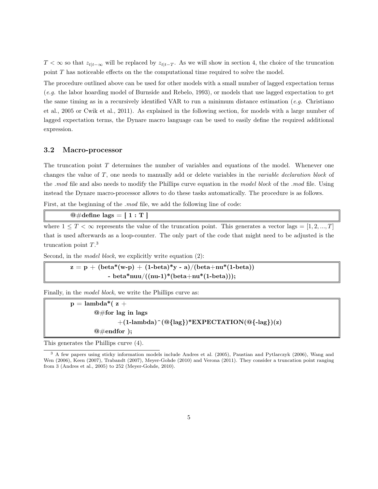$T < \infty$  so that  $z_{t|t-\infty}$  will be replaced by  $z_{t|t-T}$ . As we will show in section 4, the choice of the truncation point T has noticeable effects on the the computational time required to solve the model.

The procedure outlined above can be used for other models with a small number of lagged expectation terms (e.g. the labor hoarding model of Burnside and Rebelo, 1993), or models that use lagged expectation to get the same timing as in a recursively identified VAR to run a minimum distance estimation (*e.g.* Christiano et al., 2005 or Cwik et al., 2011). As explained in the following section, for models with a large number of lagged expectation terms, the Dynare macro language can be used to easily define the required additional expression.

#### 3.2 Macro-processor

The truncation point T determines the number of variables and equations of the model. Whenever one changes the value of T, one needs to manually add or delete variables in the *variable declaration block* of the *mod* file and also needs to modify the Phillips curve equation in the *model block* of the *mod* file. Using instead the Dynare macro-processor allows to do these tasks automatically. The procedure is as follows.

First, at the beginning of the *.mod* file, we add the following line of code:

 $@#$ define lags =  $[ 1 : T ]$ 

where  $1 \leq T < \infty$  represents the value of the truncation point. This generates a vector lags = [1,2,..., T] that is used afterwards as a loop-counter. The only part of the code that might need to be adjusted is the truncation point T. 3

Second, in the *model block*, we explicitly write equation (2):

 $z = p + (beta*(w-p) + (1-beta)*y - a)/(beta+nu*(1-beta))$ - beta\*nuu/((nu-1)\*(beta+nu\*(1-beta)));

Finally, in the *model block*, we write the Phillips curve as:

 $p =$ lambda\*( $z +$  $@#$  for lag in lags  $+(1$ -lambda)^(@{lag})\*EXPECTATION(@{-lag})(z)  $@ \# \text{endfor}$  );

This generates the Phillips curve (4).

<sup>&</sup>lt;sup>3</sup> A few papers using sticky information models include Andres et al. (2005), Paustian and Pytlarczyk (2006), Wang and Wen (2006), Keen (2007), Trabandt (2007), Meyer-Gohde (2010) and Verona (2011). They consider a truncation point ranging from 3 (Andres et al., 2005) to 252 (Meyer-Gohde, 2010).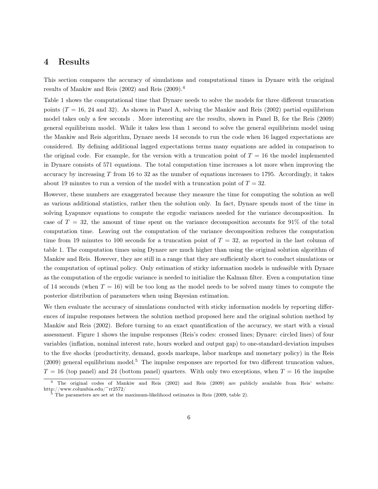#### 4 Results

This section compares the accuracy of simulations and computational times in Dynare with the original results of Mankiw and Reis (2002) and Reis (2009).<sup>4</sup>

Table 1 shows the computational time that Dynare needs to solve the models for three different truncation points  $(T = 16, 24, 32)$ . As shown in Panel A, solving the Mankiw and Reis (2002) partial equilibrium model takes only a few seconds . More interesting are the results, shown in Panel B, for the Reis (2009) general equilibrium model. While it takes less than 1 second to solve the general equilibrium model using the Mankiw and Reis algorithm, Dynare needs 14 seconds to run the code when 16 lagged expectations are considered. By defining additional lagged expectations terms many equations are added in comparison to the original code. For example, for the version with a truncation point of  $T = 16$  the model implemented in Dynare consists of 571 equations. The total computation time increases a lot more when improving the accuracy by increasing  $T$  from 16 to 32 as the number of equations increases to 1795. Accordingly, it takes about 19 minutes to run a version of the model with a truncation point of  $T = 32$ .

However, these numbers are exaggerated because they measure the time for computing the solution as well as various additional statistics, rather then the solution only. In fact, Dynare spends most of the time in solving Lyapunov equations to compute the ergodic variances needed for the variance decomposition. In case of  $T = 32$ , the amount of time spent on the variance decomposition accounts for 91% of the total computation time. Leaving out the computation of the variance decomposition reduces the computation time from 19 minutes to 100 seconds for a truncation point of  $T = 32$ , as reported in the last column of table 1. The computation times using Dynare are much higher than using the original solution algorithm of Mankiw and Reis. However, they are still in a range that they are sufficiently short to conduct simulations or the computation of optimal policy. Only estimation of sticky information models is unfeasible with Dynare as the computation of the ergodic variance is needed to initialize the Kalman filter. Even a computation time of 14 seconds (when  $T = 16$ ) will be too long as the model needs to be solved many times to compute the posterior distribution of parameters when using Bayesian estimation.

We then evaluate the accuracy of simulations conducted with sticky information models by reporting differences of impulse responses between the solution method proposed here and the original solution method by Mankiw and Reis (2002). Before turning to an exact quantification of the accuracy, we start with a visual assessment. Figure 1 shows the impulse responses (Reis's codes: crossed lines; Dynare: circled lines) of four variables (inflation, nominal interest rate, hours worked and output gap) to one-standard-deviation impulses to the five shocks (productivity, demand, goods markups, labor markups and monetary policy) in the Reis  $(2009)$  general equilibrium model.<sup>5</sup> The impulse responses are reported for two different truncation values,  $T = 16$  (top panel) and 24 (bottom panel) quarters. With only two exceptions, when  $T = 16$  the impulse

<sup>4</sup> The original codes of Mankiw and Reis (2002) and Reis (2009) are publicly available from Reis' website: http://www.columbia.edu/~rr2572/

 $5$  The parameters are set at the maximum-likelihood estimates in Reis (2009, table 2).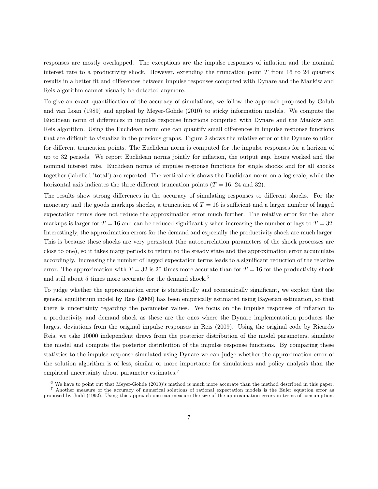responses are mostly overlapped. The exceptions are the impulse responses of inflation and the nominal interest rate to a productivity shock. However, extending the truncation point  $T$  from 16 to 24 quarters results in a better fit and differences between impulse responses computed with Dynare and the Mankiw and Reis algorithm cannot visually be detected anymore.

To give an exact quantification of the accuracy of simulations, we follow the approach proposed by Golub and van Loan (1989) and applied by Meyer-Gohde (2010) to sticky information models. We compute the Euclidean norm of differences in impulse response functions computed with Dynare and the Mankiw and Reis algorithm. Using the Euclidean norm one can quantify small differences in impulse response functions that are difficult to visualize in the previous graphs. Figure 2 shows the relative error of the Dynare solution for different truncation points. The Euclidean norm is computed for the impulse responses for a horizon of up to 32 periods. We report Euclidean norms jointly for inflation, the output gap, hours worked and the nominal interest rate. Euclidean norms of impulse response functions for single shocks and for all shocks together (labelled 'total') are reported. The vertical axis shows the Euclidean norm on a log scale, while the horizontal axis indicates the three different truncation points  $(T = 16, 24, 32)$ .

The results show strong differences in the accuracy of simulating responses to different shocks. For the monetary and the goods markups shocks, a truncation of  $T = 16$  is sufficient and a larger number of lagged expectation terms does not reduce the approximation error much further. The relative error for the labor markups is larger for  $T = 16$  and can be reduced significantly when increasing the number of lags to  $T = 32$ . Interestingly, the approximation errors for the demand and especially the productivity shock are much larger. This is because these shocks are very persistent (the autocorrelation parameters of the shock processes are close to one), so it takes many periods to return to the steady state and the approximation error accumulate accordingly. Increasing the number of lagged expectation terms leads to a significant reduction of the relative error. The approximation with  $T = 32$  is 20 times more accurate than for  $T = 16$  for the productivity shock and still about 5 times more accurate for the demand shock.<sup>6</sup>

To judge whether the approximation error is statistically and economically significant, we exploit that the general equilibrium model by Reis (2009) has been empirically estimated using Bayesian estimation, so that there is uncertainty regarding the parameter values. We focus on the impulse responses of inflation to a productivity and demand shock as these are the ones where the Dynare implementation produces the largest deviations from the original impulse responses in Reis (2009). Using the original code by Ricardo Reis, we take 10000 independent draws from the posterior distribution of the model parameters, simulate the model and compute the posterior distribution of the impulse response functions. By comparing these statistics to the impulse response simulated using Dynare we can judge whether the approximation error of the solution algorithm is of less, similar or more importance for simulations and policy analysis than the empirical uncertainty about parameter estimates.<sup>7</sup>

 $6$  We have to point out that Meyer-Gohde (2010)'s method is much more accurate than the method described in this paper. <sup>7</sup> Another measure of the accuracy of numerical solutions of rational expectation models is the Euler equation error as proposed by Judd (1992). Using this approach one can measure the size of the approximation errors in terms of consumption.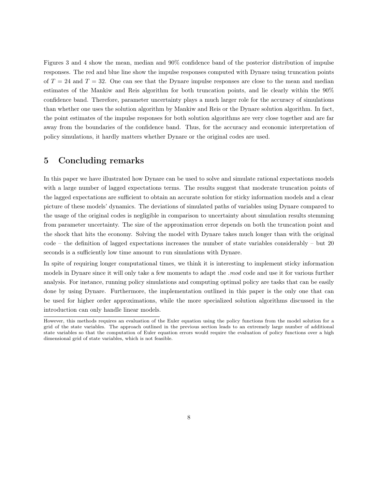Figures 3 and 4 show the mean, median and 90% confidence band of the posterior distribution of impulse responses. The red and blue line show the impulse responses computed with Dynare using truncation points of  $T = 24$  and  $T = 32$ . One can see that the Dynare impulse responses are close to the mean and median estimates of the Mankiw and Reis algorithm for both truncation points, and lie clearly within the 90% confidence band. Therefore, parameter uncertainty plays a much larger role for the accuracy of simulations than whether one uses the solution algorithm by Mankiw and Reis or the Dynare solution algorithm. In fact, the point estimates of the impulse responses for both solution algorithms are very close together and are far away from the boundaries of the confidence band. Thus, for the accuracy and economic interpretation of policy simulations, it hardly matters whether Dynare or the original codes are used.

### 5 Concluding remarks

In this paper we have illustrated how Dynare can be used to solve and simulate rational expectations models with a large number of lagged expectations terms. The results suggest that moderate truncation points of the lagged expectations are sufficient to obtain an accurate solution for sticky information models and a clear picture of these models' dynamics. The deviations of simulated paths of variables using Dynare compared to the usage of the original codes is negligible in comparison to uncertainty about simulation results stemming from parameter uncertainty. The size of the approximation error depends on both the truncation point and the shock that hits the economy. Solving the model with Dynare takes much longer than with the original code – the definition of lagged expectations increases the number of state variables considerably – but 20 seconds is a sufficiently low time amount to run simulations with Dynare.

In spite of requiring longer computational times, we think it is interesting to implement sticky information models in Dynare since it will only take a few moments to adapt the *mod* code and use it for various further analysis. For instance, running policy simulations and computing optimal policy are tasks that can be easily done by using Dynare. Furthermore, the implementation outlined in this paper is the only one that can be used for higher order approximations, while the more specialized solution algorithms discussed in the introduction can only handle linear models.

However, this methods requires an evaluation of the Euler equation using the policy functions from the model solution for a grid of the state variables. The approach outlined in the previous section leads to an extremely large number of additional state variables so that the computation of Euler equation errors would require the evaluation of policy functions over a high dimensional grid of state variables, which is not feasible.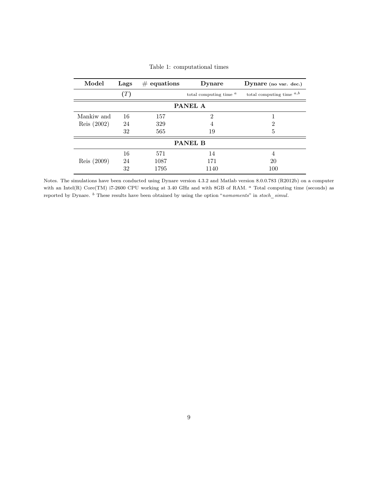| Model          | Lags | $\#$ equations | Dynare                   | Dynare (no var. dec.)      |
|----------------|------|----------------|--------------------------|----------------------------|
|                | Έ    |                | total computing time $a$ | total computing time $a,b$ |
| PANEL A        |      |                |                          |                            |
| Mankiw and     | 16   | 157            | 2                        |                            |
| Reis $(2002)$  | 24   | 329            | 4                        | 2                          |
|                | 32   | 565            | 19                       | 5                          |
| <b>PANEL B</b> |      |                |                          |                            |
|                | 16   | 571            | 14                       | 4                          |
| Reis (2009)    | 24   | 1087           | 171                      | 20                         |
|                | 32   | 1795           | 1140                     | 100                        |

Table 1: computational times

Notes. The simulations have been conducted using Dynare version 4.3.2 and Matlab version 8.0.0.783 (R2012b) on a computer with an Intel(R) Core(TM) i7-2600 CPU working at 3.40 GHz and with 8GB of RAM. <sup>a</sup> Total computing time (seconds) as reported by Dynare.  $\frac{b}{b}$  These results have been obtained by using the option "nomoments" in stoch\_simul.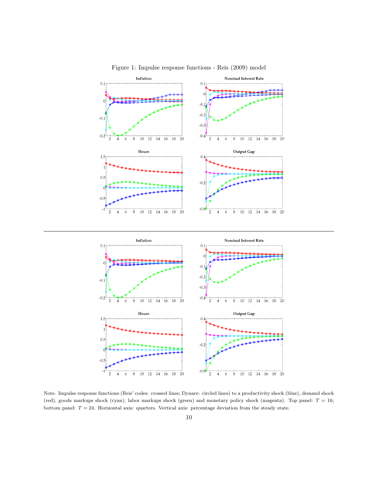

Figure 1: Impulse response functions - Reis (2009) model

Note. Impulse response functions (Reis' codes: crossed lines; Dynare: circled lines) to a productivity shock (blue), demand shock (red), goods markups shock (cyan), labor markups shock (green) and monetary policy shock (magenta). Top panel:  $T = 16$ ; bottom panel:  $T = 24$ . Horizontal axis: quarters. Vertical axis: percentage deviation from the steady state.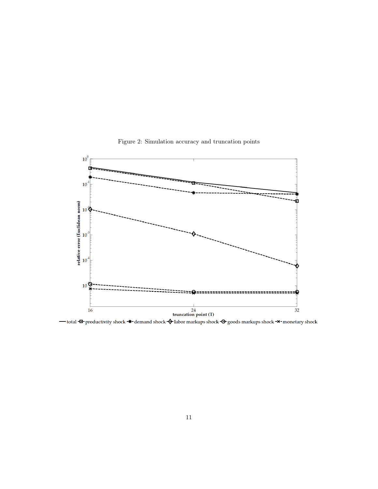

Figure 2: Simulation accuracy and truncation points

- total **-B**-productivity shock <sup>-\*</sup> demand shock → labor markups shock → goods markups shock -\* monetary shock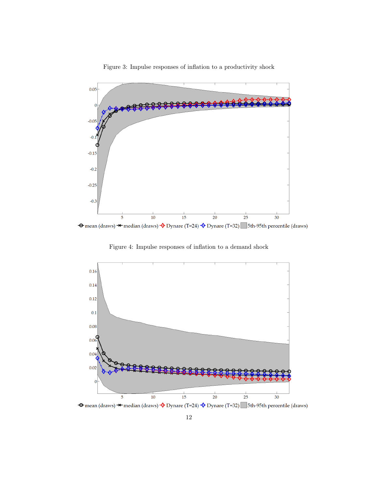

Figure 3: Impulse responses of inflation to a productivity shock

 $\bigoplus$  mean (draws)  $\bigstar$  median (draws)  $\bigcirc$  Dynare (T=24)  $\bigcirc$  Dynare (T=32) 5th-95th percentile (draws)

 $0.16$  $0.14$  $0.12$  $0.1$  $0.08$  $0.06$  $0.04$  $0.02$  $\mathbf 0$  $\frac{1}{15}$  $\overline{5}$  $10$  $\overline{20}$  $\overline{25}$  $30$ 

Figure 4: Impulse responses of inflation to a demand shock

 $\bigoplus$  mean (draws)  $\bigstar$  median (draws)  $\bigcirc$  Dynare (T=24)  $\bigcirc$  Dynare (T=32) 5th-95th percentile (draws)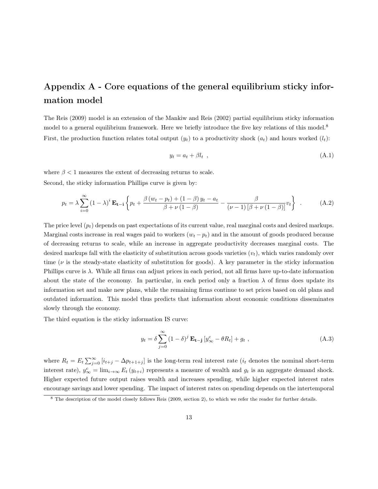## Appendix A - Core equations of the general equilibrium sticky information model

The Reis (2009) model is an extension of the Mankiw and Reis (2002) partial equilibrium sticky information model to a general equilibrium framework. Here we briefly introduce the five key relations of this model.<sup>8</sup> First, the production function relates total output  $(y_t)$  to a productivity shock  $(a_t)$  and hours worked  $(l_t)$ :

$$
y_t = a_t + \beta l_t \quad , \tag{A.1}
$$

where  $\beta < 1$  measures the extent of decreasing returns to scale.

Second, the sticky information Phillips curve is given by:

$$
p_t = \lambda \sum_{i=0}^{\infty} \left(1 - \lambda\right)^i \mathbf{E}_{\mathbf{t}-\mathbf{i}} \left\{ p_t + \frac{\beta \left(w_t - p_t\right) + \left(1 - \beta\right) y_t - a_t}{\beta + \nu \left(1 - \beta\right)} - \frac{\beta}{\left(\nu - 1\right) \left[\beta + \nu \left(1 - \beta\right)\right]} v_t \right\} \quad . \tag{A.2}
$$

The price level  $(p_t)$  depends on past expectations of its current value, real marginal costs and desired markups. Marginal costs increase in real wages paid to workers  $(w_t - p_t)$  and in the amount of goods produced because of decreasing returns to scale, while an increase in aggregate productivity decreases marginal costs. The desired markups fall with the elasticity of substitution across goods varieties  $(v_t)$ , which varies randomly over time ( $\nu$  is the steady-state elasticity of substitution for goods). A key parameter in the sticky information Phillips curve is  $\lambda$ . While all firms can adjust prices in each period, not all firms have up-to-date information about the state of the economy. In particular, in each period only a fraction  $\lambda$  of firms does update its information set and make new plans, while the remaining firms continue to set prices based on old plans and outdated information. This model thus predicts that information about economic conditions disseminates slowly through the economy.

The third equation is the sticky information IS curve:

$$
y_t = \delta \sum_{j=0}^{\infty} (1 - \delta)^j \mathbf{E}_{t-j} \left[ y_{\infty}^c - \theta R_t \right] + g_t , \qquad (A.3)
$$

where  $R_t = E_t \sum_{j=0}^{\infty} [i_{t+j} - \Delta p_{t+1+j}]$  is the long-term real interest rate  $(i_t$  denotes the nominal short-term interest rate),  $y_{\infty}^c = \lim_{i \to \infty} E_t(y_{t+i})$  represents a measure of wealth and  $g_t$  is an aggregate demand shock. Higher expected future output raises wealth and increases spending, while higher expected interest rates encourage savings and lower spending. The impact of interest rates on spending depends on the intertemporal

<sup>8</sup> The description of the model closely follows Reis (2009, section 2), to which we refer the reader for further details.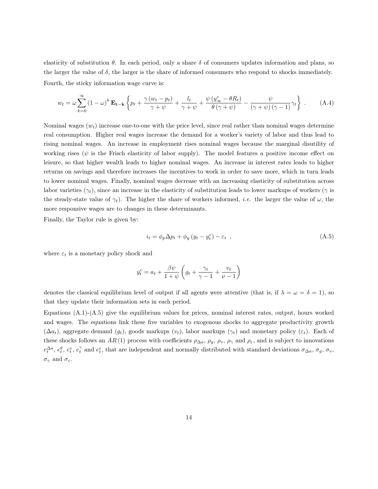elasticity of substitution  $\theta$ . In each period, only a share  $\delta$  of consumers updates information and plans, so the larger the value of  $\delta$ , the larger is the share of informed consumers who respond to shocks immediately. Fourth, the sticky information wage curve is:

$$
w_t = \omega \sum_{k=0}^{\infty} (1 - \omega)^k \mathbf{E_{t-k}} \left\{ p_t + \frac{\gamma (w_t - p_t)}{\gamma + \psi} + \frac{l_t}{\gamma + \psi} + \frac{\psi (y_{\infty}^c - \theta R_t)}{\theta (\gamma + \psi)} - \frac{\psi}{(\gamma + \psi)(\gamma - 1)} \gamma_t \right\}.
$$
 (A.4)

Nominal wages  $(w_t)$  increase one-to-one with the price level, since real rather than nominal wages determine real consumption. Higher real wages increase the demand for a worker's variety of labor and thus lead to rising nominal wages. An increase in employment rises nominal wages because the marginal disutility of working rises ( $\psi$  is the Frisch elasticity of labor supply). The model features a positive income effect on leisure, so that higher wealth leads to higher nominal wages. An increase in interest rates leads to higher returns on savings and therefore increases the incentives to work in order to save more, which in turn leads to lower nominal wages. Finally, nominal wages decrease with an increasing elasticity of substitution across labor varieties  $(\gamma_t)$ , since an increase in the elasticity of substitution leads to lower markups of workers ( $\gamma$  is the steady-state value of  $\gamma_t$ ). The higher the share of workers informed, *i.e.* the larger the value of  $\omega$ , the more responsive wages are to changes in these determinants.

Finally, the Taylor rule is given by:

$$
i_t = \phi_p \Delta p_t + \phi_y \left( y_t - y_t^c \right) - \varepsilon_t \quad , \tag{A.5}
$$

where  $\varepsilon_t$  is a monetary policy shock and

$$
y_t^c = a_t + \frac{\beta \psi}{1 + \psi} \left( g_t + \frac{\gamma_t}{\gamma - 1} + \frac{v_t}{\nu - 1} \right)
$$

denotes the classical equilibrium level of output if all agents were attentive (that is, if  $\lambda = \omega = \delta = 1$ ), so that they update their information sets in each period.

Equations  $(A.1)-(A.5)$  give the equilibrium values for prices, nominal interest rates, output, hours worked and wages. The equations link these five variables to exogenous shocks to aggregate productivity growth  $(\Delta a_t)$ , aggregate demand  $(g_t)$ , goods markups  $(v_t)$ , labor markups  $(\gamma_t)$  and monetary policy  $(\varepsilon_t)$ . Each of these shocks follows an AR(1) process with coefficients  $\rho_{\Delta a}$ ,  $\rho_g$ ,  $\rho_v$ ,  $\rho_\gamma$  and  $\rho_\varepsilon$ , and is subject to innovations  $e_t^{\Delta a}$ ,  $e_t^g$ ,  $e_t^v$ ,  $e_t^\gamma$  and  $e_t^\varepsilon$ , that are independent and normally distributed with standard deviations  $\sigma_{\Delta a}$ ,  $\sigma_g$ ,  $\sigma_v$ ,  $\sigma_{\gamma}$  and  $\sigma_{\varepsilon}$ .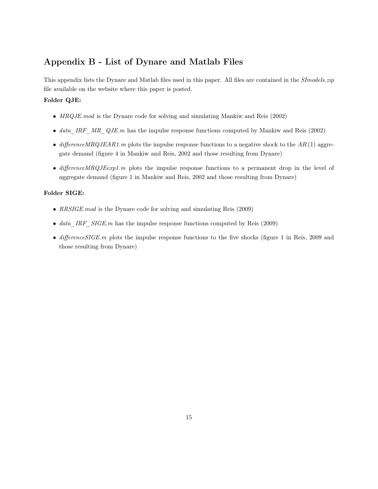### Appendix B - List of Dynare and Matlab Files

This appendix lists the Dynare and Matlab files used in this paper. All files are contained in the SImodels.zip file available on the website where this paper is posted.

#### Folder QJE:

- MRQJE.mod is the Dynare code for solving and simulating Mankiw and Reis (2002)
- data IRF MR QJE.m has the impulse response functions computed by Mankiw and Reis (2002)
- differenceMRQJEAR1.m plots the impulse response functions to a negative shock to the  $AR(1)$  aggregate demand (figure 4 in Mankiw and Reis, 2002 and those resulting from Dynare)
- differenceMRQJEexp1.m plots the impulse response functions to a permanent drop in the level of aggregate demand (figure 1 in Mankiw and Reis, 2002 and those resulting from Dynare)

#### Folder SIGE:

- RRSIGE. mod is the Dynare code for solving and simulating Reis (2009)
- data IRF  $SIGE.m$  has the impulse response functions computed by Reis (2009)
- differenceSIGE.m plots the impulse response functions to the five shocks (figure 1 in Reis, 2009 and those resulting from Dynare)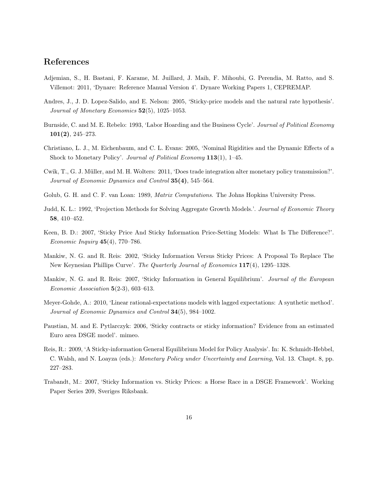### References

- Adjemian, S., H. Bastani, F. Karame, M. Juillard, J. Maih, F. Mihoubi, G. Perendia, M. Ratto, and S. Villemot: 2011, 'Dynare: Reference Manual Version 4'. Dynare Working Papers 1, CEPREMAP.
- Andres, J., J. D. Lopez-Salido, and E. Nelson: 2005, 'Sticky-price models and the natural rate hypothesis'. Journal of Monetary Economics  $52(5)$ , 1025–1053.
- Burnside, C. and M. E. Rebelo: 1993, 'Labor Hoarding and the Business Cycle'. Journal of Political Economy 101(2), 245–273.
- Christiano, L. J., M. Eichenbaum, and C. L. Evans: 2005, 'Nominal Rigidities and the Dynamic Effects of a Shock to Monetary Policy'. Journal of Political Economy 113(1), 1–45.
- Cwik, T., G. J. Müller, and M. H. Wolters: 2011, 'Does trade integration alter monetary policy transmission?'. Journal of Economic Dynamics and Control 35(4), 545–564.
- Golub, G. H. and C. F. van Loan: 1989, *Matrix Computations*. The Johns Hopkins University Press.
- Judd, K. L.: 1992, 'Projection Methods for Solving Aggregate Growth Models.'. Journal of Economic Theory 58, 410–452.
- Keen, B. D.: 2007, 'Sticky Price And Sticky Information Price-Setting Models: What Is The Difference?'. Economic Inquiry  $45(4)$ , 770–786.
- Mankiw, N. G. and R. Reis: 2002, 'Sticky Information Versus Sticky Prices: A Proposal To Replace The New Keynesian Phillips Curve'. The Quarterly Journal of Economics 117(4), 1295–1328.
- Mankiw, N. G. and R. Reis: 2007, 'Sticky Information in General Equilibrium'. Journal of the European Economic Association  $5(2-3)$ , 603-613.
- Meyer-Gohde, A.: 2010, 'Linear rational-expectations models with lagged expectations: A synthetic method'. Journal of Economic Dynamics and Control 34(5), 984-1002.
- Paustian, M. and E. Pytlarczyk: 2006, 'Sticky contracts or sticky information? Evidence from an estimated Euro area DSGE model'. mimeo.
- Reis, R.: 2009, 'A Sticky-information General Equilibrium Model for Policy Analysis'. In: K. Schmidt-Hebbel, C. Walsh, and N. Loayza (eds.): Monetary Policy under Uncertainty and Learning, Vol. 13. Chapt. 8, pp. 227–283.
- Trabandt, M.: 2007, 'Sticky Information vs. Sticky Prices: a Horse Race in a DSGE Framework'. Working Paper Series 209, Sveriges Riksbank.